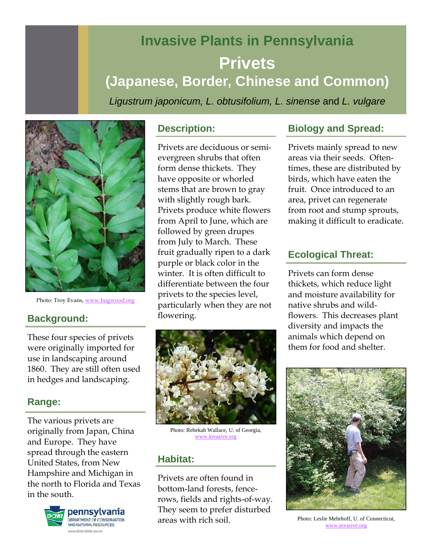# **Invasive Plants in Pennsylvania Privets (Japanese, Border, Chinese and Common)**

*Ligustrum japonicum, L. obtusifolium, L. sinense* and *L. vulgare* 



Photo: Troy Evans, www.bugwood.org

#### **Background:**

These four species of privets were originally imported for use in landscaping around 1860. They are still often used in hedges and landscaping.

#### **Range:**

The various privets are originally from Japan, China and Europe. They have spread through the eastern United States, from New Hampshire and Michigan in the north to Florida and Texas in the south.



#### **Description:**

Privets are deciduous or semievergreen shrubs that often form dense thickets. They have opposite or whorled stems that are brown to gray with slightly rough bark. Privets produce white flowers from April to June, which are followed by green drupes from July to March. These fruit gradually ripen to a dark purple or black color in the winter. It is often difficult to differentiate between the four privets to the species level, particularly when they are not flowering.



Photo: Rebekah Wallace, U. of Georgia, www.invasive.org

#### **Habitat:**

Privets are often found in bottom-land forests, fencerows, fields and rights-of-way. They seem to prefer disturbed areas with rich soil.

#### **Biology and Spread:**

Privets mainly spread to new areas via their seeds. Oftentimes, these are distributed by birds, which have eaten the fruit. Once introduced to an area, privet can regenerate from root and stump sprouts, making it difficult to eradicate.

#### **Ecological Threat:**

Privets can form dense thickets, which reduce light and moisture availability for native shrubs and wildflowers. This decreases plant diversity and impacts the animals which depend on them for food and shelter.



Photo: Leslie Mehrhoff, U. of Connecticut, www.invasive.org